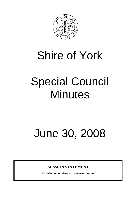

# Shire of York

# Special Council **Minutes**

# June 30, 2008

## **MISSION STATEMENT**

*"To build on our history to create our future"*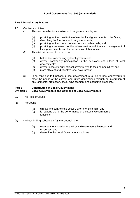## **Local Government Act 1995 (as amended)**

## **Part 1 Introductory Matters**

- 1.3. Content and intent
	- (1) This Act provides for a system of local government by
		- (a) providing for the constitution of elected local governments in the State;
		- (b) describing the functions of local governments;
		- (c) providing for the conduct of elections and other polls; and
		- (d) providing a framework for the administration and financial management of local governments and for the scrutiny of their affairs.
	- (2) This Act is intended to result in
		- (a) better decision-making by local governments;
		- (b) greater community participation in the decisions and affairs of local governments;
		- (c) greater accountability of local governments to their communities; and
		- (d) more efficient and effective local government.
	- (3) In carrying out its functions a local government is to use its best endeavours to meet the needs of the current and future generations through an integration of environmental protection, social advancement and economic prosperity.

## **Part 2 Constitution of Local Government<br>Division 2 Local Governments and Councils of Local Governments and Councils of Local Governments**

- 2.7 The Role of Council
- (1) The Council
	- (a) directs and controls the Local Government's affairs; and
	- (b) is responsible for the performance of the Local Government's functions.
- (2) Without limiting subsection  $(1)$ , the Council is to
	- (a) oversee the allocation of the Local Government's finances and resources; and
	- (b) determine the Local Government's policies.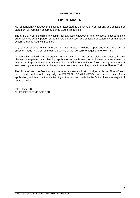## **SHIRE OF YORK**

## **DISCLAIMER**

No responsibility whatsoever is implied or accepted by the Shire of York for any act, omission or statement or intimation occurring during Council meetings.

The Shire of York disclaims any liability for any loss whatsoever and howsoever caused arising out of reliance by any person or legal entity on any such act, omission or statement or intimation occurring during Council meetings.

Any person or legal entity who acts or fails to act in reliance upon any statement, act or omission made in a Council meeting does so at that person's or legal entity's own risk.

In particular and without derogating in any way from the broad disclaimer above, in any discussion regarding any planning application or application for a license, any statement or intimation of approval made by any member or Officer of the Shire of York during the course of any meeting is not intended to be and is not taken as notice of approval from the Shire of York.

The Shire of York notifies that anyone who has any application lodged with the Shire of York must obtain and should only rely on WRITTEN CONFIRMATION of the outcome of the application, and any conditions attaching to the decision made by the Shire of York in respect of the application.

RAY HOOPER CHIEF EXECUTIVE OFFICER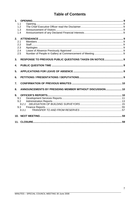## **Table of Contents**

| 1.                                    | 1.1<br>1.2<br>1.3<br>1.4                                |  |  |  |  |
|---------------------------------------|---------------------------------------------------------|--|--|--|--|
| 2.<br>2.1<br>2.2<br>2.3<br>2.4<br>2.5 |                                                         |  |  |  |  |
| 3.                                    | RESPONSE TO PREVIOUS PUBLIC QUESTIONS TAKEN ON NOTICE 9 |  |  |  |  |
| 4.                                    |                                                         |  |  |  |  |
| 5.                                    |                                                         |  |  |  |  |
| 6.                                    |                                                         |  |  |  |  |
| 7.                                    |                                                         |  |  |  |  |
| 8.                                    | ANNOUNCEMENTS BY PRESIDING MEMBER WITHOUT DISCUSSION 10 |  |  |  |  |
| 9.<br>9.1<br>9.2<br>9.3               | 9.3.1                                                   |  |  |  |  |
|                                       |                                                         |  |  |  |  |
|                                       | 59                                                      |  |  |  |  |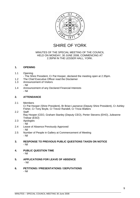<span id="page-8-0"></span>

SHIRE OF YORK

## MINUTES OF THE SPECIAL MEETING OF THE COUNCIL HELD ON MONDAY, 30 JUNE 2008, COMMENCING AT 2.35PM IN THE LESSER HALL, YORK.

## **1. OPENING**

- 1.1 Opening
	- The Shire President, Cr Pat Hooper, declared the meeting open at 2.35pm.
- 1.2 The Chief Executive Officer read the Disclaimer
- 1.3 Announcement of Visitors
- Nil
- 1.4 Announcement of any Declared Financial Interests - Nil

## **2. ATTENDANCE**

2.1 Members

 Cr Pat Hooper (Shire President), Br Brian Lawrance (Deputy Shire President), Cr Ashley Fisher, Cr Tony Boyle, Cr Trevor Randell, Cr Tricia Walters

- 2.2 Staff Ray Hooper (CEO, Graham Stanley (Deputy CEO), Perter Stevens (EHO), Julieanne Treloar (ESO)
- 2.3 Apologies - Nil
- 2.4 Leave of Absence Previously Approved
	- Nil
- 2.5 Number of People in Gallery at Commencement of Meeting - Nil

## **3. RESPONSE TO PREVIOUS PUBLIC QUESTIONS TAKEN ON NOTICE**  - Nil

- **4. PUBLIC QUESTION TIME** 
	- Nil
- **5. APPLICATIONS FOR LEAVE OF ABSENCE**  - Nil
- **6. PETITIONS / PRESENTATIONS / DEPUTATIONS**

- Nil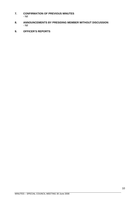## <span id="page-9-0"></span>**7. CONFIRMATION OF PREVIOUS MINUTES**  - Nil

- **8. ANNOUNCEMENTS BY PRESIDING MEMBER WITHOUT DISCUSSION**  - Nil
- **9. OFFICER'S REPORTS**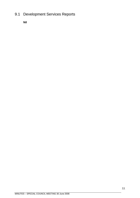<span id="page-10-0"></span>9.1 Development Services Reports

**Nil**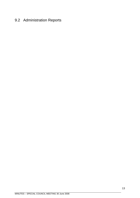# <span id="page-12-0"></span>9.2 Administration Reports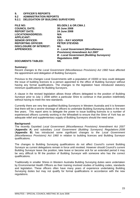## <span id="page-14-0"></span>**9. OFFICER'S REPORTS**

**9.2 ADMINISTRATION REPORTS** 

## **9.2.1 DELEGATION OF BUILDING SURVEYORS**

| <b>FILE NO:</b>                | <b>BS.GEN.1 &amp; OR.CMA.1</b>                   |
|--------------------------------|--------------------------------------------------|
| <b>COUNCIL DATE:</b>           | 30 June 2008                                     |
| <b>REPORT DATE:</b>            | 24 June 2008                                     |
| <b>LOCATION/ADDRESS:</b>       | N/A                                              |
| <b>APPLICANT:</b>              | N/A                                              |
| <b>SENIOR OFFICER:</b>         | <b>CEO – RAY HOOPER</b>                          |
| <b>REPORTING OFFICER:</b>      | <b>PETER STEVENS</b>                             |
| <b>DISCLOSURE OF INTEREST:</b> | <b>NIL</b>                                       |
| <b>APPENDICES:</b>             | <b>A - Local Government (Miscellaneous</b>       |
|                                | <b>Provisions) Amendment Act 2007</b>            |
|                                | <b>B</b> - Local Government (Building Surveyors) |
|                                | <b>Regulations 2008</b>                          |
| <b>DOCUMENTS TABLED:</b>       | NIL                                              |

#### **Summary:**

Recent changes to the *Local Government (Miscellaneous Provisions) Act 1960* have affected the appointment and delegation of Building Surveyors.

Previous to the changes Local Governments with a population of 15000 or less could delegate the issue of building licences to a person appointed to the office of Building Surveyor without having any formal qualifications. The changes to the legislation have introduced statutory minimum qualifications for Building Surveyors.

A clause in the revised legislation allows those officers delegated to the position of Building Surveyor prior to July 1 2008 within a particular Shire to continue in that position indefinitely without having to meet the new standards.

Currently there are very few qualified Building Surveyors in Western Australia and it is foreseen that there will be a severe shortage of officers to undertake Building Surveying duties in the next few years. This report aims to delegate the power to issue building licences to a number of experienced officers currently working in the Wheatbelt to ensure that the Shire of York has an adequate relief and supplementary supply of Building Surveyors should the need arise.

#### **Background:**

The recently Gazetted *Local Government (Miscellaneous Provisions) Amendment Act 2007* (**Appendix A**) and subsidiary *Local Government (Building Surveyors) Regulations 2008* (**Appendix B**) has introduced some significant changes to the *Local Government (Miscellaneous Provisions) Act 1960* in relation to building licences and Building Surveyor qualifications.

The changes to Building Surveying qualifications do not affect Council's current Building Surveyor as current delegations remain in force until revoked. However should Council's current Building Surveyor leave the position, take leave or become sick for an extended period it may be very difficult to fill the position of Building Surveyor with someone who has the correct qualifications.

Traditionally in smaller Shires in Western Australia Building Surveying duties were undertaken by Environmental Health Officers as their training involved studies of building codes, standards and legislation. These officers often have many years of experience undertaking Building Surveying duties but may not qualify for formal qualifications in accordance with the new regulations.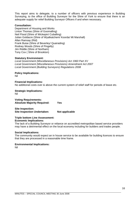This report aims to delegate, to a number of officers with previous experience in Building Surveying, to the office of Building Surveyor for the Shire of York to ensure that there is an adequate supply for relief Building Surveyor Officers if and when necessary.

## **Consultation:**

Department of Housing and Works Linton Thomas (Shire of Goomalling) Neil Flood (Shire of Wickepin/ Cuballing) Julian Goldacre (Shire of Wyalkatchem/ Koorda/ Mt Marshall) Allan Ramsay (Rtd) Frank Buise (Shire of Beverley/ Quairading) Rodney Woods (Shire of Pingelly) Jim Riddle (Shire of Northam) Tony Cox ( Shire of Brookton)

## **Statutory Environment:**

*Local Government (Miscellaneous Provisions) Act 1960 Part XV Local Government (Miscellaneous Provisions) Amendment Act 2007 Local Government (Building Surveyors) Regulations 2008* 

**Policy Implications:**  Nil

#### **Financial Implications:**  No additional costs over & above the current system of relief staff for periods of leave etc.

**Strategic Implications:**  Nil

**Voting Requirements: Absolute Majority Required: Yes**

**Site Inspection: Site Inspection Undertaken: Not applicable** 

## **Triple bottom Line Assessment:**

## **Economic Implications:**

The lack of a Building Surveyor or reliance on accredited metropolitan based service providers may have a detrimental effect on the local economy including for builders and trades people.

#### **Social Implications:**

The community would expect an in house service to be available for building licences to ensure that they are processed in a reasonable time frame.

#### **Environmental Implications:**

Nil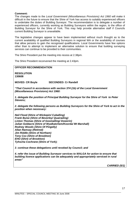## **Comment:**

The changes made to the *Local Government (Miscellaneous Provisions) Act 1960* will make it difficult in the future to ensure that the Shire of York has access to suitably experienced officers to undertake the duties of Building Surveyor. The recommendation is to delegate a number of experienced officers, currently working as Building Surveyors within the region, to the office of Building Surveyor for the Shire of York. This may help provide alternative staff if Councils current Building Surveyor is unavailable.

The legislative changes appear to have been implemented without much thought as to the current availability of qualified Building Surveyors in regional WA or the availability of courses that allow persons to gain the recognised qualifications. Local Governments have few options other than to attempt to implement an alternative solution to ensure that building surveying services can continue to be provided to their communities.

The Shire President put the meeting into recess at 2.38pm.

The Shire President reconvened the meeting at 2.43pm.

**OFFICER RECOMMENDATION RESOLUTION 130608 MOVED: CR Boyle SECONDED: Cr Randell**  *"That Council in accordance with section 374 (1b) of the Local Government (Miscellaneous Provisions) Act 1960: 1. delegate the position of Principal Building Surveyor for the Shire of York to Peter Stevens; 2. delegate the following persons as Building Surveyors for the Shire of York to act in the position when necessary: Neil Flood (Shire of Wickepin/ Cuballing) Frank Buise (Shire of Beverley/ Quairading) Linton Thomas (Shire of Goomalling/ Dowerin) Julian Goldacre (Shire of Wyalkatchem/Koorda/ Mt Marshall) Rodney Woods (Shire Of Pingelly) Allan Ramsay (Retired) Jim Riddle (Shire of Northam) Tony Cox (Shire of Brookton) EHO (Shire of Brookton) Tyhscha Cochrane (Shire of York); 3. continue these delegations until revoked by Council; and 4. refer the issue of Building Surveyor services to WALGA for action to ensure that building licence applications can be adequately and appropriately serviced in rural areas" CARRIED (5/1)*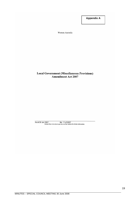## **Appendix A**

Western Australia

## **Local Government (Miscellaneous Provisions) Amendment Act 2007**

As at 29 Jun 2007 No. 11 of 2007<br>Extract from www.slp.wa.gov.au, see that website for further information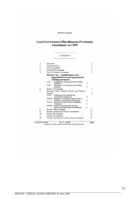#### Western Australia

## **Local Government (Miscellaneous Provisions) Amendment Act 2007**

#### **CONTENTS**

| 1.            | Short title                                                |    | $\overline{c}$                                     |
|---------------|------------------------------------------------------------|----|----------------------------------------------------|
| 2.            | Commencement                                               |    |                                                    |
| 3.            | The Act amended                                            |    |                                                    |
| 4.            | Section 245A amended                                       |    | $\overline{\mathbf{c}}$<br>$\overline{\mathbf{c}}$ |
| 5.            | Part XV Division 1A inserted                               |    | $\overline{2}$                                     |
|               | Division 1A - Qualifications and                           |    |                                                    |
|               | appointment of local government                            |    |                                                    |
|               | building surveyors                                         |    |                                                    |
|               | 373A.<br>Qualifications of local government building       |    |                                                    |
|               | surveyors                                                  | 2  |                                                    |
|               | 373B.<br>Appointment of local government building          |    |                                                    |
|               | surveyors                                                  | 3  |                                                    |
| 6.            | Section 374 amended                                        |    | $\varsigma$                                        |
| 7.            | Sections 374AA, 374AAB, 374AAC and 374AAD                  |    |                                                    |
|               | inserted                                                   |    | 6                                                  |
|               | 374AA.<br>Building approval certificates for               |    |                                                    |
|               | unauthorised building work                                 | 6  |                                                    |
|               | 374AAB.<br>Delegation of authority to approve plans of     |    |                                                    |
|               | buildings or unauthorised building work                    | 8  |                                                    |
|               | 374AAC.<br>Advice to be sought where no delegation         |    |                                                    |
|               | of authority<br>374AAD. Review of decisions about building | 11 |                                                    |
|               | licences and building approval certificates                | 11 |                                                    |
| 8.            | Section 374AA amended                                      |    | 12                                                 |
| 9.            | Sections 374AA and 374AAA renumbered                       |    | 13                                                 |
| 10.           | Section 380 amended                                        |    | 13                                                 |
| 11.           | Section 401 amended                                        |    | 13                                                 |
| 12.           | Various references to building surveyor amended            |    | 15                                                 |
|               |                                                            |    |                                                    |
| t 29 Jun 2007 | No. 11 of 2007                                             |    | page i                                             |

As at 29 Jun 2007<br>Extract from www.slp.wa.gov.au, see that website for further information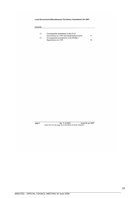Local Government (Miscellaneous Provisions) Amendment Act 2007

| 15 |
|----|
|    |
| 16 |
|    |

page ii

No. 11 of 2007<br>Extract from www.slp.wa.gov.au, see that website for further information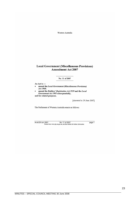Western Australia

## **Local Government (Miscellaneous Provisions) Amendment Act 2007**

#### No. 11 of 2007

An Act to -

- amend the Local Government (Miscellaneous Provisions)  $\blacksquare$ Act 1960;
- amend the Builders' Registration Act 1939 and the Local Government Act 1995 consequentially, and for related purposes.

[Assented to 29 June 2007]

The Parliament of Western Australia enacts as follows:

As at 29 Jun 2007 **No. 11 of 2007**<br>Extract from www.slp.wa.gov.au, see that website for further information

 $page 1$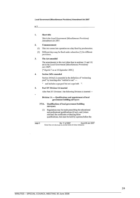#### Local Government (Miscellaneous Provisions) Amendment Act 2007

 $s.1$ 

#### Short title 1.

This is the Local Government (Miscellaneous Provisions) Amendment Act 2007.

#### $\overline{2}$ Commencement

- This Act comes into operation on a day fixed by proclamation.  $(1)$
- Different days may be fixed under subsection (1) for different  $(2)$ provisions.

#### $3.$ The Act amended

The amendments in this Act (other than in sections 13 and 14) are to the Local Government (Miscellaneous Provisions) Act 1960\*.

[\* Reprint 7 as at 16 September 2005.]

#### $\overline{4}$ . Section 245A amended

Section 245A(1) is amended in the definition of "swimming pool" by inserting after "entitled to use" -

 $\alpha$ and includes a spa-pool but not a spa-bath ".

#### Part XV Division 1A inserted 5.

After Part XV Division 1 the following Division is inserted -

#### Division 1A - Qualifications and appointment of local government building surveyors

#### 373A. Qualifications of local government building surveyors

Regulations may be made prescribing the educational  $(1)$ and professional qualifications (if any), and (where relevant) the certificates evidencing those qualifications, that must be held by a person before the

page 2

 $\epsilon$ 

No. 11 of 2007 As a<br>Extract from www.slp.wa.gov.au, see that website for further information As at 29 Jun 2007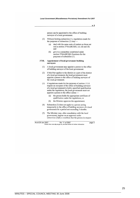s. 5

person can be appointed to the office of building surveyor of a local government.

- Without limiting subsection (1), regulations made for  $(2)$ the purposes of subsection  $(1)$  may
	- deal with the same sorts of matters as those set  $(a)$ out in section  $374AAB(3)(b)$ , (c), (d) and (f); and
	- give to a committee constituted under  $(b)$ section 374AAB(3)(b) functions for the purposes of subsection (1).

#### 373В. Appointment of local government building surveyors

- A local government may appoint a person to the office  $(1)$ of building surveyor of the local government.
- If this Part applies to the district or a part of the district  $(2)$ of a local government, the local government must appoint a person to the office of building surveyor of the local government.
- If regulations made for the purposes of section 373A  $(3)$ require an occupant of the office of building surveyor of a local government to hold a specified qualification under the regulations, the local government must not appoint a person to the office unless
	- the person holds the appropriate certificate of  $(a)$ qualification under the regulations; or
	- the Minister approves the appointment.  $(b)$
- Subsection (3) does not apply to a person acting  $(4)$ temporarily in the office of building surveyor of a local government for a period not exceeding 3 months.
- The Minister may, after consultation with the local  $(5)$ government, impose on an approval under subsection  $(3)(b)$  a condition that the person in respect

As at 29 Jun 2007 No. 11 of 2007  $page 3$ Extract from www.slp.wa.gov.au, see that website for further information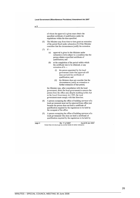$s.5$ 

of whom the approval is given must obtain the specified certificate of qualification under the regulations within the time specified.

- The Minister may from time to time grant an extension  $(6)$ of the period fixed under subsection (5) if the Minister considers that the circumstances justify the extension.
- If  $(7)$ 
	- approval is given by the Minister under  $(a)$ subsection  $(3)(b)$  subject to a condition that the person obtain a specified certificate of qualification; and
	- at the completion of the period within which  $(b)$ the certificate was to be obtained, or any extension of it
		- the person appointed by the local  $(i)$ government under that approval still does not hold the certificate of qualification; and
		- the Minister does not consider that the  $(ii)$ circumstances justify an extension or further extension of that period,

the Minister may, after consultation with the local government, direct the local government to remove the person from the office and, despite anything in this Act or the Local Government Act 1995, the local government must comply with that direction.

- A person occupying the office of building surveyor of a  $(8)$ local government must not be removed from office just because the person does not hold a certificate of qualification required by the regulations to be held by the occupant of the office.
- $(9)$ A person occupying the office of building surveyor of a local government who does not hold a certificate of qualification required by the regulations to be held by

page 4

No. 11 of 2007 As at 29 Jun 2007 Extract from www.slp.wa.gov.au, see that website for further information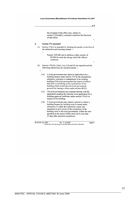|    |            |      |                                                                                                                                                                                                                                                                                                                                                                                               | s. 6 |
|----|------------|------|-----------------------------------------------------------------------------------------------------------------------------------------------------------------------------------------------------------------------------------------------------------------------------------------------------------------------------------------------------------------------------------------------|------|
|    |            |      | the occupant of the office may, subject to<br>section 374AAB(4), continue to perform the functions<br>of that office.                                                                                                                                                                                                                                                                         | ,,   |
| 6. |            |      | <b>Section 374 amended</b>                                                                                                                                                                                                                                                                                                                                                                    |      |
|    | (1)        |      | Section $374(1)$ is amended by deleting the penalty at the foot of<br>the subsection and inserting instead —                                                                                                                                                                                                                                                                                  |      |
|    |            | 6G   | Penalty: \$50 000 and in addition a daily penalty of<br>\$5 000 for each day during which the offence<br>continues.                                                                                                                                                                                                                                                                           | ,,   |
|    | (2)<br>ĠĆ. |      | Section 374(1b), (1ba), (1c), (1d) and (2) are repealed and the<br>following subsections are inserted instead -                                                                                                                                                                                                                                                                               |      |
|    |            | (1b) | A local government may reject an application for a<br>building licence under section 374 for the amendment,<br>alteration, extension or enlargement of an existing<br>building if the local government has reason to believe<br>that there is something in the construction of the<br>building which would give the local government<br>grounds for issuing a notice under section $401(1)$ . |      |
|    |            | (1c) | The local government may suspend dealing with the<br>application pending the outcome of an application for a<br>building approval certificate under section 374AA in<br>respect of the building.                                                                                                                                                                                              |      |
|    |            | (1d) | A local government may require a person to whom a<br>building licence for building work is issued under<br>subsection (1) (after this subsection comes into<br>operation) to give notice of the completion of the<br>building work to the local government, within the time<br>specified in the notice (which must not be less than<br>35 days after practical completion).                   |      |

As at 29 Jun 2007<br>Extract from www.slp.wa.gov.au, see that website for further information  $page 5$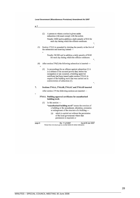Local Government (Miscellaneous Provisions) Amendment Act 2007

|                       | (2) | A person to whom a notice is given under<br>subsection (1d) must comply with the notice.                                                                                                                                                                                                                                                    |
|-----------------------|-----|---------------------------------------------------------------------------------------------------------------------------------------------------------------------------------------------------------------------------------------------------------------------------------------------------------------------------------------------|
|                       |     | Penalty: \$400 and in addition a daily penalty of \$16 for<br>each day during which the offence continues.<br>$^{\circ}$                                                                                                                                                                                                                    |
| (3)                   | ٤¢  | Section 374(3) is amended by deleting the penalty at the foot of<br>the subsection and inserting instead —                                                                                                                                                                                                                                  |
|                       |     | Penalty: \$4 000 and in addition a daily penalty of \$160<br>for each day during which the offence continues.<br>"                                                                                                                                                                                                                          |
| (4)<br>$\zeta\,\zeta$ |     | After section $374(3)$ the following subsection is inserted —                                                                                                                                                                                                                                                                               |
|                       | (4) | In proceedings for an offence against subsection (3) it<br>is a defence if the accused proves that, before the<br>occupation or use occurred, a building approval<br>certificate had been issued under section 374AA in<br>respect of the building work that was carried out in<br>contravention of subsection (1).<br>$\ddot{\phantom{1}}$ |
|                       |     | Sections 374AA, 374AAB, 374AAC and 374AAD inserted                                                                                                                                                                                                                                                                                          |
|                       |     | After section 374 the following sections are inserted                                                                                                                                                                                                                                                                                       |
|                       |     | 374AA. Building approval certificates for unauthorised<br>building work                                                                                                                                                                                                                                                                     |
|                       | (1) | In this section -                                                                                                                                                                                                                                                                                                                           |
|                       |     | "unauthorised building work" means the erection of<br>a building or the amendment, alteration, extension<br>or enlargement of the structure of a building —                                                                                                                                                                                 |
|                       |     | which is carried out without the permission<br>(a)<br>of the local government where that<br>permission is required; or                                                                                                                                                                                                                      |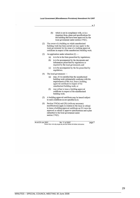- $s.7$
- which is not in compliance with, or is a  $(b)$ departure from, plans and specifications for the building that have been approved by the local government under section 374(1).
- $(2)$ The owner of a building on which unauthorised building work has been carried out may apply to the local government for the issue of a building approval certificate in respect of the unauthorised building work.
- (3) An application under subsection  $(2)$ 
	- (a) is to be in the form prescribed by regulations;
	- $(b)$ is to be accompanied by the documents and information prescribed by regulations or required by the local government; and
	- $(c)$ is to be accompanied by the fee prescribed by regulations.
- $(4)$ The local government
	- may, if it is satisfied that the unauthorised  $(a)$ building work substantially conforms with the requirements of this Act, issue a building approval certificate in respect of the unauthorised building work; or
	- $(b)$ may refuse to issue a building approval certificate in respect of the unauthorised building work.
- $(5)$ A building approval certificate may be issued subject to such conditions as are specified in it.
- Section 374(2a) and (2b) (with any necessary  $(6)$ modifications) apply in relation to the issue or refusal to issue a building approval certificate as if it were the approval or refusal to approve specifications and a plan submitted to the local government under section 374(1).

As at 29 Jun 2007 No. 11 of 2007 page 7 Extract from www.slp.wa.gov.au, see that website for further information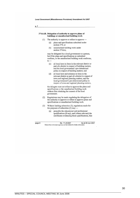374AAB. Delegation of authority to approve plans of buildings or unauthorised building work

- $(1)$ The authority to approve or refuse to approve
	- plans and specifications submitted under  $(a)$ section 374; or
	- $(b)$ unauthorised building work under section 374AA,

may be delegated by a local government to a person, but if the plans and specifications so submitted conform, or the unauthorised building work conforms,  $to -$ 

- all local laws in force in the relevant district or  $(c)$ part of a district in respect of building matters, and the local government's pre-determined policy in respect of building matters; and
- all local laws and schemes in force in the  $(d)$ relevant district or part of a district in respect of town and regional planning matters, and the local government's pre-determined policy in respect of town and regional planning matters,

the delegate must not refuse to approve the plans and specifications or the unauthorised building work without first obtaining the consent of the local government.

- (2) Regulations may be made regulating the delegation of the authority to approve or refuse to approve plans and specifications or unauthorised building work.
- Without limiting subsection (2), regulations made for  $(3)$ the purposes of subsection (2) may
	- prescribe the educational and professional  $(a)$ qualifications (if any), and (where relevant) the certificates evidencing those qualifications, that

 $pace 8$ 

As at 29 Jun 2007 No. 11 of 2007 Extract from www.slp.wa.gov.au, see that website for further information

 $s.7$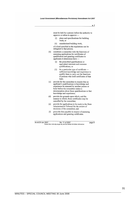$s.7$ 

must be held by a person before the authority to approve or refuse to approve -

- plans and specifications for building  $(i)$ work; or
- $(ii)$ unauthorised building work,

of a kind specified in the regulations can be delegated to that person;

- constitute a committee with the functions of  $(b)$ assessing applications for certificates of qualification and granting certificates to applicants it determines have-
	- $(i)$ the prescribed qualifications or equivalent interstate and overseas qualifications; or
	- $(ii)$ for a particular type of certificate sufficient knowledge and experience to qualify them to carry out the functions of persons who hold certificates of that type;
- provide for the committee to require that an  $(c)$ applicant's qualifications or knowledge and experience be assessed by another person or body before the committee makes a determination about those qualifications or that knowledge and experience;
- $(d)$ provide the grounds upon which, and the manner in which, those certificates may be cancelled by the committee;
- provide for applications to be made to the State  $(e)$ Administrative Tribunal for the review of decisions of the committee; and
- prescribe fees payable in respect of assessing  $(f)$ applications and granting certificates.

As at 29 Jun 2007 No. 11 of 2007 page 9 Extract from www.slp.wa.gov.au, see that website for further information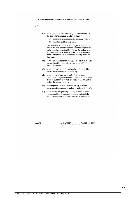Local Government (Miscellaneous Provisions) Amendment Act 2007

<u>s. 7</u>

- $(4)$ A delegation under subsection (1) does not authorise the delegate to approve or refuse to approve -
	- $(a)$ plans and specifications for building work; or
	- unauthorised building work,  $(b)$

of a particular kind unless the delegate is a person to whom the local government can, under the regulations referred to in subsection (2), delegate the authority to approve or refuse to approve plans and specifications for building work, or unauthorised building work, of that kind.

- $(5)$ A delegation under subsection (1), and any variation or revocation of it, must be in writing executed by the local government.
- A person to whom authority is delegated under this  $(6)$ section cannot delegate that authority.
- A person exercising an authority that has been  $(7)$ delegated to the person under this section is to be taken to do so in accordance with the terms of the delegation unless the contrary is shown.
- (8) Nothing in this section limits the ability of a local government to exercise its authority under section 374.
- $(9)$ An authority delegated by a local government under subsection (1) and exercised by the delegate is to be taken to have been exercised by the local government.

page 10

As at 29 Jun 2007 No. 11 of 2007 Extract from www.slp.wa.gov.au, see that website for further information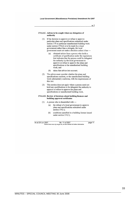s. 7

#### 374AAC. Advice to be sought where no delegation of authority

- If the decision to approve or refuse to approve  $(1)$ particular plans and specifications submitted under section 374 or particular unauthorised building work under section 374AA is to be made by a local government rather than a delegate, the local government must not make a decision unless it has
	- obtained advice from a person who holds a  $(a)$ certificate of qualification under the regulations that indicates that the person could be delegated the authority by the local government to approve or refuse to approve the plans and specifications or the unauthorised building work; and
	- $(b)$ taken that advice into account.
- The advice must consider whether the plans and  $(2)$ specifications conform, or the unauthorised building work substantially conforms, with the requirements of this Act.
- $(3)$ This section does not apply where a person need not hold any qualifications to be delegated the authority to approve or refuse to approve the plans and specifications or unauthorised building work.

#### 374AAD. Review of decisions about building licences and building approval certificates

- $(1)$ A person who is dissatisfied with —
	- $(a)$ the refusal of a local government to approve plans and specifications submitted under section  $374(1)$ ;
	- $(b)$ conditions specified in a building licence issued under section  $374(1)$ ;

As at 29 Jun 2007 No. 11 of 2007 page 11 Extract from www.slp.wa.gov.au, see that website for further information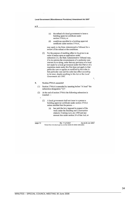Local Government (Miscellaneous Provisions) Amendment Act 2007

 $S.8$ 

| (c) | the refusal of a local government to issue a |
|-----|----------------------------------------------|
|     | building approval certificate under          |
|     | section 374AA; or                            |

conditions specified in a building approval  $(d)$ certificate under section 374AA,

may apply to the State Administrative Tribunal for a review of the refusal or the conditions.

 $(2)$ For the purpose of enabling effect to be given to an order it makes upon an application under subsection (1), the State Administrative Tribunal may, if in its opinion the circumstances of a particular case warrant its so doing, order that any provision of a local law made by a local government under this Part or of a regulation made under this Part does not apply in that particular case or applies as modified by the order in that particular case and the order has effect according to its tenor, despite anything in this Act or the Local Government Act 1995.

#### 8. Section 374AA amended

- $(1)$ Section 374AA is amended by inserting before "A local" the subsection designation "(1)".
- At the end of section 374AA the following subsection is  $(2)$ inserted -
	- A local government shall not issue to a person a  $(2)$ building approval certificate under section 374AA unless satisfied that the person-
		- $(a)$ has paid the levy imposed in respect of the work under the Building and Construction Industry Training Levy Act 1990 and any amount due under section 24 of that Act; or

page 12

 $\ddot{\phantom{0}}$ 

As at 29 Jun 2007 No. 11 of 2007 Extract from www.slp.wa.gov.au, see that website for further information

 $\ddot{\phantom{0}}$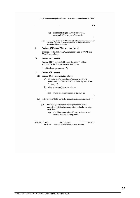$s.9$ 

is not liable to pay a levy referred to in  $(b)$ paragraph (a) in respect of the work.

'n,

 $\;$ 

Note: The heading to section 374AA will be altered by deleting "licence under<br>section 374 or 374A" and inserting instead "building licence or building approval certificate".

#### 9. Sections 374AA and 374AAA renumbered

Sections 374AA and 374AAA are renumbered as 374AB and 374AC respectively.

#### $10.$ Section 380 amended

Section 380(1) is amended by inserting after "building surveyor" in the first place where it occurs -

 $\alpha$ of the local government ".

#### 11. Section 401 amended

- $(1)$ Section  $401(1)$  is amended as follows:
	- in paragraph (b) by deleting "Act, or which is a  $(a)$ contravention of this Act; or" and inserting instead —  $\alpha$ Act;  $"$ ;
		-
	- $(b)$ after paragraph (b) by inserting - $\epsilon\epsilon$ 
		- $(ba)$ which is a contravention of this Act; or
- After section  $401(1)$  the following subsections are inserted  $(2)$  $\hat{\mathbf{G}}$ 
	- $(1a)$ The local government is not to give notice under subsection  $(1)(b)$  or  $(c)$  in respect of particular building work if
		- a building approval certificate has been issued  $(a)$ in respect of the building work;

| As at 29 Jun 2007 | No. 11 of 2007                                                           | page 13 |
|-------------------|--------------------------------------------------------------------------|---------|
|                   | Extract from www.slp.wa.gov.au, see that website for further information |         |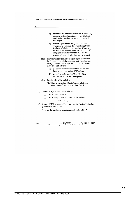|     | (b)                     | the owner has applied for the issue of a building<br>approval certificate in respect of the building<br>work and the application has not been finally<br>refused; or                                                                                                                               |
|-----|-------------------------|----------------------------------------------------------------------------------------------------------------------------------------------------------------------------------------------------------------------------------------------------------------------------------------------------|
|     | (c)                     | the local government has given the owner<br>written notice inviting the owner to apply for<br>the issue of a building approval certificate in<br>respect of the building work and the period (if<br>any) specified in the written notice for the<br>making of the application has not yet expired. |
|     | (1b)                    | For the purposes of subsection $(1a)(b)$ an application<br>for the issue of a building approval certificate has been<br>finally refused if the local government has refused to<br>issue the certificate and —                                                                                      |
|     | (a)                     | no application for review of that refusal has<br>been made under section 374AAD; or                                                                                                                                                                                                                |
|     | (b)                     | on review under section 374AAD of that<br>refusal, the refusal has been upheld.                                                                                                                                                                                                                    |
|     | (1c)                    | In subsections $(1a)$ and $(1b)$ —                                                                                                                                                                                                                                                                 |
|     |                         | "building approval certificate" means a building<br>approval certificate under section 374AA.<br>,,                                                                                                                                                                                                |
| (3) |                         | Section 401(4) is amended as follows:                                                                                                                                                                                                                                                              |
|     | (a)                     | by deleting ", whether";                                                                                                                                                                                                                                                                           |
|     | (b)                     | by deleting "or not" and inserting instead —                                                                                                                                                                                                                                                       |
|     | $\zeta \, \zeta$        | under subsection $(1)$<br>$\cdot$ $\cdot$                                                                                                                                                                                                                                                          |
| (4) | place where it occurs - | Section 401(5) is amended by inserting after "notice" in the first                                                                                                                                                                                                                                 |
|     | $\epsilon$              | ".<br>from the local government under subsection $(1)$                                                                                                                                                                                                                                             |
|     |                         |                                                                                                                                                                                                                                                                                                    |

page 14

 $5.11$ 

No. 11 of 2007<br>Extract from www.slp.wa.gov.au, see that website for further information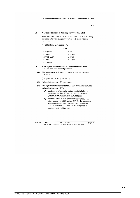s. 12

#### $12.$ Various references to building surveyor amended

Each provision listed in the Table to this section is amended by inserting after "building surveyor" in each place where it  $occurs -$ 

 $T_{\rm eff}$ 

 $\alpha$ of the local government ".

|                       | .            |
|-----------------------|--------------|
| s. $364(3)(c)$        | s. 406       |
| s.374(5)              | s. $415(1)$  |
| s. $377(2)$ and $(4)$ | s. $420(1)$  |
| s. $379(1)$           | s. $433(26)$ |
| s. 399 $(3)(a)$       |              |

#### 13. Consequential amendment to the Local Government Act 1995 and transitional provision

(1) The amendment in this section is to the Local Government Act 1995\*.

 $[$ \* Reprint 3 as at 5 August 2005.]

- (2) Schedule 9.2 clause  $4(2)$  is repealed.
- The regulations referred to in the Local Government Act 1995  $(3)$ Schedule 9.2 clause  $4(2)(b)$  -
	- $(a)$ continue in effect so far as they relate to building surveyors and Part XV of the Local Government (Miscellaneous Provisions) Act 1960; and
	- $(b)$ are to be taken to have been made under the Local Government Act 1995 section 9.59 for the purposes of the Local Government (Miscellaneous Provisions) Act 1960 section 373A and 374AAB inserted by section 5 and 7 of this Act.

No. 11 of 2007

As at 29 Jun 2007 Extract from www.slp.wa.gov.au, see that website for further information

page 15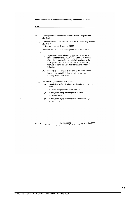Local Government (Miscellaneous Provisions) Amendment Act 2007

14. Consequential amendments to the Builders' Registration Act 1939 The amendments in this section are to the Builders' Registration  $(1)$ Act 1939\*. [\* Reprint 11 as at 2 September 2005.] After section  $4B(1)$  the following subsections are inserted —  $(2)$  $\overline{\mathbf{c}}$ A person to whom a building approval certificate is  $(1a)$ issued under section 374AA of the Local Government (Miscellaneous Provisions) Act 1960 must pay to the local government by which the certificate is issued (at the time of issue) such fee as is determined by the Minister. Subsection (1a) applies if and only if the certificate is  $(1b)$ issued in respect of building work for which no building licence was issued.  $\ddot{\mathcal{D}}$ Section 4B(2) is amended as follows:  $(3)$ by deleting "referred to in subsection (1)" and inserting  $(a)$ instead- $\bar{\mathbf{G}}$ or building approval certificate "; in paragraph (a) by inserting after "licence" —  $(b)$ " or certificate "; (c) in paragraph (b) by inserting after "subsection  $(1)$ " — " or  $(1a)$  ".

page 16

s. 14

As at 29 Jun 2007 No. 11 of 2007 Extract from www.slp.wa.gov.au, see that website for further information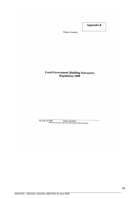**Appendix B** 

Western Australia

## **Local Government (Building Surveyors) Regulations 2008**

As at 06 Jun 2008<br>Extract from www.slp.wa.gov.au, see that website for further information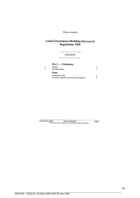#### Western Australia

## **Local Government (Building Surveyors) Regulations 2008**

#### **CONTENTS**

## Part 1 — Preliminary

 $\frac{1}{2}$ .

| Citation                                     |  |
|----------------------------------------------|--|
| Commencement                                 |  |
| <b>Notes</b>                                 |  |
| Compilation table                            |  |
| Provisions that have not come into operation |  |

As at 06 Jun 2008<br>Extract from www.slp.wa.gov.au, see that website for further information  $page i$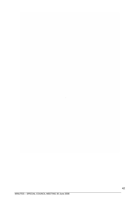$\mathcal{L}_{\text{max}}$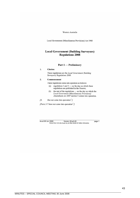#### Western Australia

Local Government (Miscellaneous Provisions) Act 1960

## **Local Government (Building Surveyors) Regulations 2008**

#### Part 1 - Preliminary

1. **Citation** 

> These regulations are the Local Government (Building Surveyors) Regulations 2008.

#### $\overline{2}$ Commencement

These regulations come into operation as follows:

- $(a)$ regulations  $1$  and  $2$  — on the day on which these regulations are published in the Gazette;
- the rest of the regulations on the day on which the  $Local Government$  (Miscellaneous Provisions)  $(b)$ Amendment Act 2007 section 5 comes into operation.
- $\overline{3}$ . Has not come into operation<sup>2</sup>.]

[Parts 2-7 have not come into operation<sup>2</sup>.]

As at 06 Jun 2008 Version 00-a0-00<br>Extract from www.slp.wa.gov.au, see that website for further information page 1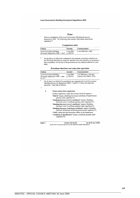#### Local Government (Building Surveyors) Regulations 2008

#### **Notes**

This is a compilation of the *Local Government (Building Surveyors)* Regulations 2008. The following table contains information about those regulations  $1a$ .

#### **Compilation table**

| <b>Citation</b>                                                                 | Gazettal   | Commencement                |
|---------------------------------------------------------------------------------|------------|-----------------------------|
| Local Government (Building<br>Surveyors) Regulations 2008 r. 1 and 2 p. 2205-24 | 6 Jun 2008 | 6 Jun 2008 (see r. $2(a)$ ) |

On the date as at which this compilation was prepared, provisions referred to in<br>the following table had not come into operation and were therefore not included in<br>this compilation. For the text of the provisions see the e  $1a$  $table.$ 

| Provisions that have not come into operation |  |  |  |  |
|----------------------------------------------|--|--|--|--|
|----------------------------------------------|--|--|--|--|

| Citation                                                             | Gazettal   | Commencement                |
|----------------------------------------------------------------------|------------|-----------------------------|
| Local Government (Building                                           | 6 Jun 2008 | 1 Jul 2008 (see r. 2(b) and |
| <i>Surveyors) Regulations 2008 r</i> . 3 and<br>Pt. 2-7 <sup>2</sup> | p. 2205-24 | Gazette 6 Jun 2008 p. 2179) |

 $\overline{2}$ On the date as at which this compilation was prepared, the *Local Government* (Building Surveyors) Regulations 2008 r. 3 and Pt. 2-7 have not come into operation. They read as follows:

| З. | Terms used in these regulations                                                                                             |
|----|-----------------------------------------------------------------------------------------------------------------------------|
|    | In these regulations, unless the contrary intention appears —                                                               |
|    | "BSCQ" means a Building Surveyors Certificate of Qualification<br>granted under regulation 21;                              |
|    | "Building Surveyor Level 1 certificate" means a Building<br>Surveyor Level 1 certificate granted under regulation 21;       |
|    | "Building Surveyor Level 2 certificate" means a Building<br>Surveyor Level 2 certificate granted under regulation 21;       |
|    | "Building Surveyor Technician certificate" means a Building<br>Surveyor Technician certificate granted under regulation 21; |
|    | "CEO" means the chief executive officer of the department;                                                                  |
|    | "certificate of qualification" means a certificate granted under<br>regulation 21;                                          |
|    |                                                                                                                             |

 $page 2$ 

 $\overline{1}$ 

 $\alpha$ 

Version 00-a0-00<br>Extract from www.slp.wa.gov.au, see that website for further information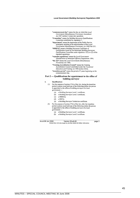#### **Local Government (Building Surveyors) Regulations 2008**

- "commencement day" means the day on which the Local Government (Miscellaneous Provisions) Amendment Act 2007 section 5 comes into operation;
- "Committee" means the Building Surveyors Qualifications Committee established by regulation 7;
- "department" means the department of the Public Service principally assisting in the administration of the Local Government (Miscellaneous Provisions) Act 1960 Part XV;
- "MBSCO" means a Building Surveyors Certificate of Qualification issued by the Municipal Building Surveyors Qualifications Committee under regulation  $12(1)$  or  $(2)$  of the repealed regulations;
- "repealed regulations" means the Local Government (Qualification of Municipal Officers) Regulations 1984;
- "the Act" means the Local Government (Miscellaneous Provisions) Act 1960;
- "Training Accreditation Council" means the Training Accreditation Council established under the Vocational Education and Training Act 1996 section 25(1);
- "transition period" means the period of 5 years beginning on the commencement day.

#### Part 2 — Qualifications for appointment to the office of building surveyor

- $\ddot{a}$ Qualifications
	- For the purpose of section 373A of the Act, during the transition  $(1)$ period a person must hold one of the following before the person is appointed to the office of building surveyor of a local government
		- $(a)$ a Building Surveyor Level 1 certificate;
		- $(b)$ a Building Surveyor Level 2 certificate:
		- $(c)$ a MBSCQ;
		- a BSCQ;  $(d)$
		- a Building Surveyor Technician certificate.  $(e)$
	- For the purpose of section 373A of the Act, after the transition  $(2)$ period a person must hold one of the following before the person is appointed to the office of building surveyor of a local government
		-
		- $(a)$ a Building Surveyor Level 1 certificate;
		- a Building Surveyor Level 2 certificate.  $(b)$

As at 06 Jun 2008 Version 00-a0-00 page 3 Extract from www.sln.wa.gov.au. see that website for further information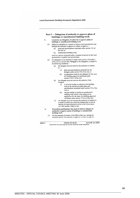#### Part 3 - Delegation of authority to approve plans of buildings or unauthorised building work

- Limitation on delegation of authority to approve plans of buildings or unauthorised building work
- Subject to regulation 6, a person to whom a local government may  $(1)$ delegate the authority to approve or refuse to approve
	- plans and specifications submitted under section 374 of  $(a)$ the Act: or
		- $(b)$ unauthorised building work,

must be a person employed under a contract of service by the local government or another local government.

- If a delegation of an authority is made under section 374AAB(1)  $(2)$ of the Act to a person (the "delegate"), the delegation is subject to the following conditions
	- the delegate must not exercise the authority in relation  $(a)$  $to$ 
		- plans and specifications submitted by the  $(i)$
		- delegate under section 374 of the Act; or an application made by the delegate for the issue  $(ii)$ of a building approval certificate under section 374AA of the Act;
	- the delegate must not exercise the authority if the  $(b)$ delegate
		- $(i)$ is to be the builder in relation to the building work to be carried out under plans and specifications submitted under section 374 of the Act; or
		- $(ii)$ was the builder in relation to unauthorised building work which is the subject of an application for the issue of a building approval certificate under section 374AA of the Act;
	- the delegate must not exercise the authority in relation to  $(c)$ a matter in relation to which the delegate has or had an interest of a type referred to in the Local Government Act 1995 section 5.60(c) or (d).
- Prescribed qualifications that must be held by delegate of 6. authority to approve plans of buildings or unauthorised building work
	- For the purposes of section 374AAB(2) of the Act, during the  $(1)$ transition period, the authority to approve or refuse to approve

Version 00-a0-00

 $<sub>page 4</sub>$ </sub>

5.

As at 06 Jun 2008 Extract from www.slp.wa.gov.au, see that website for further information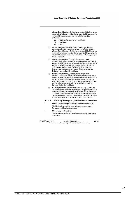plans and specifications submitted under section 374 of the Act or unauthorised building work in relation to any building must not be delegated to a person unless that person holds one of the following

- (a) a Building Surveyor Level 1 certificate;
- $(b)$ a MBSCQ;
- a BSCQ.  $(c)$
- For the purposes of section 374AAB(2) of the Act, after the  $(2)$ transition period, the authority to approve or refuse to approve plans and specifications submitted under section 374 of the Act or unauthorised building work in relation to any building must not be delegated to a person unless that person holds a Building Surveyor Level 1 certificate.
- Despite subregulations (1) and (2), for the purposes of  $(3)$ section 374AAB(2) of the Act, the authority to approve or refuse to approve plans and specifications submitted under section 374 of the Act or unauthorised building work in relation to a building with a maximum floor area of 2 000  $m<sup>2</sup>$  and not more than 3 storeys may be delegated to a person if that person holds a Building Surveyor Level 2 certificate.
- Despite subregulations (1) and (2), for the purposes of  $(4)$ Section 374AAB(2) of the Act, the authority to approve or refuse<br>to approve plans and specifications submitted under section 374 of the Act or unauthorised building work in relation to a building<br>with a maximum floor area of 500  $m^2$  and not more than 2 storeys may be delegated to a person if that person holds a Building Surveyor Technician certificate.
- If a delegation to an individual under section 374(1b) of the Act  $(5)$ (as in force before the commencement day) to approve or refuse to approve plans and specifications under section 374 of the Act has not ceased to have effect immediately before the commencement day, that delegation continues to have effect on or after that day as<br>if it had been made under section  $374AAB(1)(a)$  of the Act.

#### Part 4 - Building Surveyors Qualifications Committee

- 7. **Building Surveyors Qualifications Committee established** The Minister is to establish a committee called the Building Surveyors Qualifications Committee.
- 8, **Membership of Committee** The Committee consists of 5 members appointed by the Minister, of whom-

As at 06 Jun 2008 Version 00-a0-00 page 5 Extract from www.slp.wa.gov.au, see that website for further information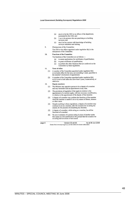#### **Local Government (Building Surveyors) Regulations 2008**

- one is to be the CEO or an officer of the department,  $(a)$ nominated by the CEO; and
- 3 are to be persons who are practising as a building  $(b)$ surveyor; and
- one is to be a person with knowledge of building  $(c)$ surveyor education and training.
- 9. **Chairperson of the Committee**

The CEO or the officer appointed under regulation 8(a) is the chairperson of the Committee.

#### $10.$ **Functions of the Committee**

- The functions of the Committee are as follows
	- to assess applications for certificates of qualification;  $(a)$
	- to grant certificates of qualification;  $(b)$
	- to perform the other functions that are conferred on the  $(c)$ Committee by these regulations.
- 11. Term of office
	- A member of the Committee appointed under regulation 8(b)<br>or (c) holds office for the term, not exceeding 3 years, specified in  $(1)$ the member's instrument of appointment.
	- A member of the Committee appointed under regulation 8(b)  $(2)$ or (c) is not to hold office for more than 9 years, consecutively or otherwise.

#### $12.$ Deputy members

- The Minister may appoint a person to be a deputy of a member  $(1)$ and may terminate such an appointment at any time.
- The provisions of regulation 8 that apply in relation to the  $(2)$ appointment of a member apply, with any necessary modification, in relation to the appointment of the deputy of that member.
- A deputy of a member may perform the functions of the member  $(3)$ when the member is unable to do so by reason of illness, absence or other cause.
- $(4)$ Despite anything in these regulations, a deputy of a member may continue to act as a member, after the occasion for so acting has ceased, for the purpose of completing any function.
- A deputy of a member, while acting as a member, has all the  $(5)$ functions of a member.
- No act or omission of a person acting in place of another under  $(6)$ this clause is to be questioned on the ground that the occasion for so acting had not arisen or had ceased.

 $<sub>page 6</sub>$ </sub>

 $\overline{\overline{\text{Version }00\text{-}a0\text{-}00}}$ As at 06 Jun 2008 Extract from www.slp.wa.gov.au, see that website for further information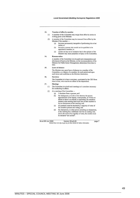#### Vacation of office by member  $13.$

- A member of the Committee may resign from office by notice in  $(1)$ writing given to the Minister.
- A member of the Committee may be removed from office by the  $(2)$ Minister if the member
	- $(a)$ becomes permanently incapable of performing his or her duties; or
	- $(b)$ becomes a person who would not be qualified to be appointed a member; or
	- carries out any act or omission that in the opinion of the  $(c)$ Minister may cause prejudice or injury to the Committee.

#### $14.$ Remuneration

A member of the Committee is to be paid such remuneration and allowances (if any) as the Minister, on the recommendation of the Minister for Public Sector Management, determines from time to time.

#### 15. Leave of absence

The Minister may grant leave of absence to a member of the Committee, or a deputy of a member, for such period and upon such terms and conditions as the Minister determines.

16. Secretary

> The Committee is to have a secretary, nominated by the CEO from time to time, who must be an officer of the department.

#### 17. Meetings

The Committee is to hold such meetings as it considers necessary  $(1)$ for conducting its affairs.

At a meeting of the Committee - $(2)$ 

- (a) 3 members form a quorum; and
	- the chairperson, or in his or her absence the person  $(b)$ appointed his or her deputy, must preside, or if both are absent or there is no deputy so appointed, the members present at the meeting must elect one of their number to act as chairperson at that meeting; and
	- $(c)$ all questions must be decided by a majority of votes of the members present and voting; and
	- the chairperson, or other person presiding as chairperson,  $(d)$ at the meeting has a deliberate vote but no casting vote, and in the event of an equality of votes, the motion must be declared "not carried".

As at 06 Jun 2008 2008 Version 00-a0-00<br>Extract from www.slp.wa.gov.au, see that website for further information page 7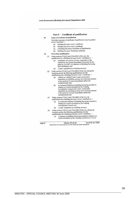## Part 5 - Certificate of qualification

#### Types of certificate of qualification 18.

- The following types of certificate of qualification may be granted by the Committee
	- (a) Building Surveyor Level 1 certificate;
	- Building Surveyor Level 2 certificate;  $(b)$
	- a Building Surveyors Certificate of Qualification:  $(c)$
	- Building Surveyor Technician certificate.  $(d)$
- Prescribed qualifications 19
	- Under sections 373A(1) and 374AAB(3) of the Act, the  $(1)$ 
		- qualification for a Building Surveyor Level 1 certificate is completion of a course of study comparable to that  $(a)$ required by the Central Queensland University for the grant by it in 2007 of a Bachelor of Building Surveying
			- and Certification; and
			- $(b)$ 3 years' experience as a building surveyor.
	- Under sections 373A(1) and 374AAB(3) of the Act, during the  $(2)$ transition period, the following qualifications are also
		- qualifications for a Building Surveyor Level 1 certificate a BSCQ or a MBSCQ and 5 years' unrestricted  $(a)$ 
			- experience as a building surveyor for a local government in the period of 10 years immediately before the commencement day;
			- (b) an Advanced Diploma in Building Surveying awarded in relation to a course accredited by the Training Accreditation Council and 5 years' unrestricted experience as a building surveyor for a local government in the period of 10 years immediately before the commencement day.
	- Under sections 373A(1) and 374AAB(3) of the Act, the  $(3)$ 
		- qualification for a Building Surveyor Level 2 certificate is an Advanced Diploma in Building Surveying awarded in  $(a)$ relation to a course accredited by the Training Accreditation Council; and
			- 2 years' experience as a building surveyor.  $(b)$
	- Under sections 373A(1) and 374AAB(3) of the Act, during the  $(4)$ transition period, the following qualifications are also
		- qualifications for a Building Surveyor Level 2 certificate a Diploma in Building Surveying awarded in relation to a  $(a)$ course accredited by the Training Accreditation Council

page 8

As at 06 Jun 2008 Version  $00 - a0 - 00$ Extract from www.slp.wa.gov.au, see that website for further information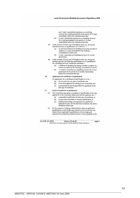and 4 years' unrestricted experience as a building surveyor for a local government in the period of 10 years immediately before the commencement day;

- 6 years' unrestricted experience as a building surveyor  $(b)$ for a local government in the period of 10 years immediately before the commencement day.
- Under sections 373A(1) and 374AAB(3) of the Act, during the  $(5)$ transition period, the qualification for a BSCQ is
	- an Advanced Diploma in Building Surveying awarded in  $(a)$ relation to a course accredited by the Training Accreditation Council; and
	- 2 years' experience as a building surveyor for a local  $(b)$ government.
- Under sections 373A(1) and 374AAB(3) of the Act, during the  $(6)$ transition period, the following qualifications are a qualification for a Building Surveyor Technician certificate
	- a Diploma in Building Surveying awarded in relation to a  $(a)$ course accredited by the Training Accreditation Council;
	- 12 months' experience as a building surveyor for a local  $(b)$ government in the period of 12 months immediately<br>before the commencement day.

#### 20. Application for certificate of qualification

An application for a certificate of qualification is to be -

- for one and only one type of certificate; and  $(a)$
- in the form approved in writing by the Committee; and  $(b)$  $(c)$ accompanied by the fee prescribed by regulation 26 for
- that type of certificate.

#### 21. Grant of certificate of qualification

- $(1)$ The Committee must grant a certificate of qualification of the type applied for if the Committee determines that the applicant has (a) a prescribed qualification for that type of certificate; or
	- $(b)$ an equivalent interstate or overseas qualification; or
	- sufficient knowledge and experience to qualify the  $(c)$
	- applicant to carry out the functions of persons who hold a certificate of that type.
- $(2)$ For the purpose of making a determination about an applicant's qualifications or knowledge and experience, the Committee may require that an applicant's qualifications or knowledge and experience be assessed by another person or body specified by the

As at 06 Jun 2008 Version 00-a0-00 page 9 Extract from www.sln.wa.gov.au. see that website for further information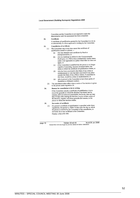Committee and the Committee is not required to make the determination until the assessment has been completed.

#### 22. Certificate

A certificate of qualification granted by the Committee is to be in<br>or substantially in a form approved in writing by the Committee.

- **Cancellation of certificate** 23.
	- The Committee may at any time cancel the certificate of  $(1)$ qualification issued to a person
		- who has obtained such certificate by fraud or  $(a)$ misrepresentation; or
		- who is a bankrupt as defined in the Commonwealth  $(b)$ Bankruptcy Act 1966 or has a substantially similar status under a law applicable in a place where that Act does not apply; or
		- if the Committee is satisfied that the person is no longer  $(c)$ capable of exercising, because of mental defect, the duties to which the certificate of qualification relates; or
		- who has been convicted in this State of any crime or  $(d)$ misdemeanour or who has been convicted in any place outside this State of any offence which, if committed in this State, would be a crime or misdemeanour; or
		- who is proved to the Committee to have been guilty of  $(e)$ fraudulent or dishonest conduct.
	- The cancellation takes effect when a notice of the decision is given  $(2)$ to the person under regulation 24.

#### $24.$ Reason for cancellation to be in writing

If the Committee cancels a certificate of qualification, it is to record the grounds on which the decision was based, and its reasons, and is as soon as is practicable, but in any case not later than 30 days after making the decision, to give written notice of the decision, together with those grounds and reasons, to the person to whom the decision relates.

#### Surrender of certificate 25.

If a person's certificate of qualification is cancelled under these  $(1)$ regulations, the person is, within 14 days after the day on which the person is notified by the Committee of the cancellation, to surrender his or her certificate to the Committee. Penalty: a fine of \$1 000.

page 10

As at 06 Jun 2008 Version 00-a0-00 Extract from www.slp.wa.gov.au, see that website for further information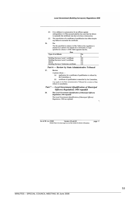- It is a defence to a prosecution for an offence against<br>subregulation (1) if the accused satisfies the court that the failure<br>to surrender the certificate was due to its loss or destruction.  $(2)$
- The cancellation of a certificate of qualification has effect despite  $(3)$ any failure to surrender the certificate.

#### $26.$

Fee

The fee specified in column 2 of the Table to this regulation is<br>payable by a person who applies for a certificate of a type<br> $\,$ specified in column 1 of the Table opposite that fee.

| Fees                                     |     |  |
|------------------------------------------|-----|--|
| Type of certificate                      | Fee |  |
|                                          | S   |  |
| Building Surveyor Level 1 certificate    | 200 |  |
| Building Surveyor Level 2 certificate    | 200 |  |
| <b>BSCO</b>                              | 150 |  |
| Building Surveyor Technician certificate | 150 |  |

#### Part 6 - Review by State Administrative Tribunal

#### 27. Review

#### A person whose -

- $(a)$ application for a certificate of qualification is refused by the Committee; or
- $(b)$ certificate of qualification is cancelled by the Committee, may apply to the State Administrative Tribunal for a review of that refusal or cancellation.

 $\ddot{\phantom{0}}$ 

#### Part 7 - Local Government (Qualification of Municipal **Officers**) Regulations 1984 repealed

#### 28. The Local Government (Qualification of Municipal Officers) Regulations 1984 repealed

The Local Government (Qualification of Municipal Officers) Regulations 1984 are repealed.

As at 06 Jun 2008 Version 00-a0-00 page 11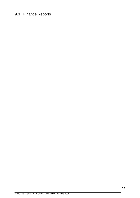# <span id="page-54-0"></span>9.3 Finance Reports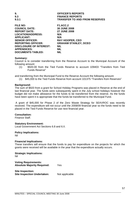<span id="page-56-0"></span>

| 9.                             | <b>OFFICER'S REPORTS</b>             |
|--------------------------------|--------------------------------------|
| 9.3                            | <b>FINANCE REPORTS</b>               |
| 9.3.1                          | <b>TRANSFER TO AND FROM RESERVES</b> |
| <b>FILE NO:</b>                | <b>F1.ACC.2</b>                      |
| <b>COUNCIL DATE:</b>           | <b>30 JUNE 2008</b>                  |
| <b>REPORT DATE:</b>            | <b>27 JUNE 2008</b>                  |
| <b>LOCATION/ADDRESS:</b>       | N/A                                  |
| <b>APPLICANT:</b>              | N/A                                  |
| <b>SENIOR OFFICER:</b>         | <b>RAY HOOPER, CEO</b>               |
| <b>REPORTING OFFICER:</b>      | <b>GRAHAM STANLEY, DCEO</b>          |
| <b>DISCLOSURE OF INTEREST:</b> | <b>NIL</b>                           |
| <b>APPENDICES:</b>             | <b>NIL</b>                           |
| <b>DOCUMENTS TABLED:</b>       | <b>NIL</b>                           |
|                                |                                      |

## **Summary:**

Council is to consider transferring from the Reserve Account to the Municipal Account of the following amount:

(1) \$920.00 from the Tied Funds Reserve to account 109403 "Transfers from Tied Funds Reserve"

and transferring from the Municipal Fund to the Reserve Account the following amount:

(1) \$45,000 to the Tied Funds Reserve from account 101375 "Transfers from Reserves"

#### **Background:**

The sum of \$920 from a grant for School Holiday Programs was placed in Reserve at the end of last financial year. The funds were subsequently spent in the July school holidays however the budget did not make allowance for the funds to be transferred from the reserve. As the funds have been spent it is appropriate that the funds be transferred to the Municipal Fund.

 A grant of \$45,000 for Phase 2 of the Zero Waste Strategy for SEAVROC was recently received. The expenditure will not occur until the 2008/09 financial year so the funds need to be placed in the Tied Funds Reserve for use next financial year.

#### **Consultation:**

Finance Staff.

#### **Statutory Environment:**

Local Government Act Sections 6.8 and 6.II.

## **Policy Implications:**

Nil

#### **Financial Implications:**

These transfers will ensure that the funds to pay for expenditure on the projects for which the grants were received will be available in the year that the expenditure actually occurs.

| <b>Strategic Implications:</b><br>Nil                             |     |  |
|-------------------------------------------------------------------|-----|--|
| <b>Voting Requirements:</b><br><b>Absolute Majority Required:</b> | Yes |  |
| <b>Site Inspection:</b>                                           |     |  |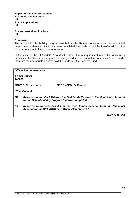**Triple bottom Line Assessment: Economic Implications:**  Nil **Social Implications:**  Nil

**Environmental Implications:**  Nil

#### **Comment:**

The amount for the holiday program was held in the Reserve Account while the associated project was underway. As it has been completed the funds should be transferred from the Reserve Account to the Municipal Account.

In the case of the SEAVROC Zero Waste Grant it is a requirement under the Accounting directions that the unspent grant be recognized in the annual accounts as "Tied Funds" therefore the appropriate place to hold the funds is in the Reserve Fund.

|        | <b>Officer Recommendation</b>                                                                                                            |
|--------|------------------------------------------------------------------------------------------------------------------------------------------|
| 140608 | <b>RESOLUTION</b>                                                                                                                        |
|        | <b>MOVED: Cr Lawrance</b><br><b>SECONDED: Cr Randell</b>                                                                                 |
|        | "That Council:                                                                                                                           |
| (1)    | Resolves to transfer \$920 from the Tied Funds Reserve to the Municipal<br>Account<br>for the School Holiday Program that was completed. |
| (2)    | Resolves to transfer \$45,000 to the Tied Funds Reserve from the Municipal<br>Account for the SEAVROC Zero Waste Plan Phase 2."          |
|        | <b>CARRIED (6/0)</b>                                                                                                                     |